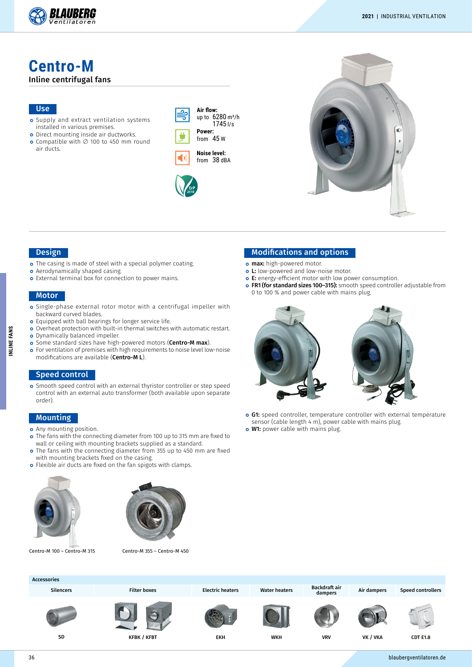

**Centro-M** Inline centrifugal fans

## Use

- o Supply and extract ventilation systems installed in various premises.
- o Direct mounting inside air ductworks. Compatible with ∅ 100 to 450 mm round air ducts.

| Air flow:<br>up to 6280 m <sup>3</sup> /h<br>1745 I/s |
|-------------------------------------------------------|
| Power:                                                |
| 45 w<br>from                                          |







#### Design

- The casing is made of steel with a special polymer coating.
- **o** Aerodynamically shaped casing.
- o External terminal box for connection to power mains.

#### **Motor**

- Single-phase external rotor motor with a centrifugal impeller with backward curved blades.
- o Equipped with ball bearings for longer service life.
- o Overheat protection with built-in thermal switches with automatic restart. o Dynamically balanced impeller.
- o Some standard sizes have high-powered motors (Centro-M max).
- For ventilation of premises with high requirements to noise level low-noise modifications are available (Centro-ML).

#### Speed control

Smooth speed control with an external thyristor controller or step speed control with an external auto transformer (both available upon separate order).

#### Mounting

- **o** Any mounting position.
- o The fans with the connecting diameter from 100 up to 315 mm are fixed to wall or ceiling with mounting brackets supplied as a standard.
- o The fans with the connecting diameter from 355 up to 450 mm are fixed with mounting brackets fixed on the casing.
- **o** Flexible air ducts are fixed on the fan spigots with clamps.





Centro-M 100 – Centro-M 315 Centro-M 355 – Centro-M 450

#### Modifications and options

- o max: high-powered motor.
- o L: low-powered and low-noise motor.
- E: energy-efficient motor with low power consumption.
- o FR1 (for standard sizes 100-315): smooth speed controller adjustable from 0 to 100 % and power cable with mains plug.



- o G1: speed controller, temperature controller with external temperature sensor (cable length 4 m), power cable with mains plug.
- **o W1:** power cable with mains plug.

| <b>Accessories</b> |                     |                         |                      |                          |             |                          |
|--------------------|---------------------|-------------------------|----------------------|--------------------------|-------------|--------------------------|
| <b>Silencers</b>   | <b>Filter boxes</b> | <b>Electric heaters</b> | <b>Water heaters</b> | Backdraft air<br>dampers | Air dampers | <b>Speed controllers</b> |
|                    |                     |                         |                      |                          |             |                          |
| SD                 | <b>KFBK / KFBT</b>  | EKH                     | <b>WKH</b>           | <b>VRV</b>               | VK / VKA    | <b>CDT E1.8</b>          |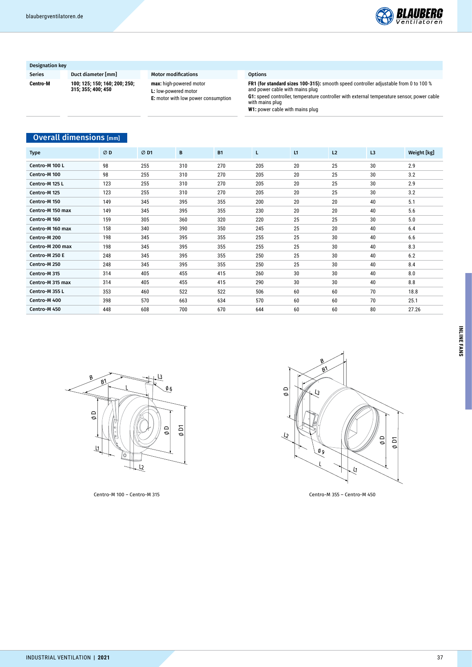

## Designation key

Series Duct diameter [mm] Motor modifications Options **Centro-M 100; 125; 150; 160; 200; 250; 315; 355; 400; 450**

# **max:** high-powered motor **L:** low-powered motor **E:** motor with low power consumption

**FR1 (for standard sizes 100-315):** smooth speed controller adjustable from 0 to 100 % and power cable with mains plug

# **Overall dimensions** [mm]

|                                |     |                                           | E: motor with low power consumption |           | G1: speed controller, temperature controller with external temperature sensor, power cable<br>with mains plug<br>W1: power cable with mains plug |               |    |                                               |             |  |  |
|--------------------------------|-----|-------------------------------------------|-------------------------------------|-----------|--------------------------------------------------------------------------------------------------------------------------------------------------|---------------|----|-----------------------------------------------|-------------|--|--|
| <b>Overall dimensions</b> [mm] |     |                                           |                                     |           |                                                                                                                                                  |               |    |                                               |             |  |  |
| <b>Type</b>                    | ØD  | ØD1                                       | $\, {\bf B}$                        | <b>B1</b> | L                                                                                                                                                | L1            | L2 | L3                                            | Weight [kg] |  |  |
| Centro-M 100 L                 | 98  | 255                                       | 310                                 | 270       | 205                                                                                                                                              | 20            | 25 | 30                                            | 2.9         |  |  |
| Centro-M 100                   | 98  | 255                                       | 310                                 | 270       | 205                                                                                                                                              | 20            | 25 | 30                                            | 3.2         |  |  |
| Centro-M 125 L                 | 123 | 255                                       | 310                                 | 270       | 205                                                                                                                                              | 20            | 25 | 30                                            | 2.9         |  |  |
| Centro-M 125                   | 123 | 255                                       | 310                                 | 270       | 205                                                                                                                                              | 20            | 25 | 30                                            | 3.2         |  |  |
| Centro-M 150                   | 149 | 345                                       | 395                                 | 355       | 200                                                                                                                                              | $20\,$        | 20 | 40                                            | 5.1         |  |  |
| Centro-M 150 max               | 149 | 345                                       | 395                                 | 355       | 230                                                                                                                                              | 20            | 20 | 40                                            | 5.6         |  |  |
| Centro-M 160                   | 159 | 305                                       | 360                                 | 320       | 220                                                                                                                                              | 25            | 25 | 30                                            | 5.0         |  |  |
| Centro-M 160 max               | 158 | 340                                       | 390                                 | 350       | 245                                                                                                                                              | 25            | 20 | 40                                            | 6.4         |  |  |
| Centro-M 200                   | 198 | 345                                       | 395                                 | 355       | 255                                                                                                                                              | 25            | 30 | 40                                            | 6.6         |  |  |
| Centro-M 200 max               | 198 | 345                                       | 395                                 | 355       | 255                                                                                                                                              | 25            | 30 | 40                                            | 8.3         |  |  |
| Centro-M 250 E                 | 248 | 345                                       | 395                                 | 355       | 250                                                                                                                                              | 25            | 30 | 40                                            | 6.2         |  |  |
| Centro-M 250                   | 248 | 345                                       | 395                                 | 355       | 250                                                                                                                                              | 25            | 30 | 40                                            | 8.4         |  |  |
| Centro-M 315                   | 314 | 405                                       | 455                                 | 415       | 260                                                                                                                                              | $30\,$        | 30 | 40                                            | 8.0         |  |  |
| Centro-M 315 max               | 314 | 405                                       | 455                                 | 415       | 290                                                                                                                                              | 30            | 30 | 40                                            | 8.8         |  |  |
| Centro-M 355 L                 | 353 | 460                                       | 522                                 | 522       | 506                                                                                                                                              | 60            | 60 | 70                                            | 18.8        |  |  |
| Centro-M 400                   | 398 | 570                                       | 663                                 | 634       | 570                                                                                                                                              | 60            | 60 | 70                                            | 25.1        |  |  |
| Centro-M 450                   | 448 | 608                                       | 700                                 | 670       | 644                                                                                                                                              | 60            | 60 | $80\,$                                        | 27.26       |  |  |
| B<br>$\sigma$                  | ์B1 | $\overline{\varnothing}$ 6<br>$\Box$<br>ø | ρD                                  |           | øρ<br>্যি                                                                                                                                        | B<br>B)<br>LЗ |    | $\Omega$<br>$\overline{\mathsf{d}}$<br>ø<br>ø |             |  |  |





Centro-M 100 – Centro-M 315 Centro-M 355 – Centro-M 450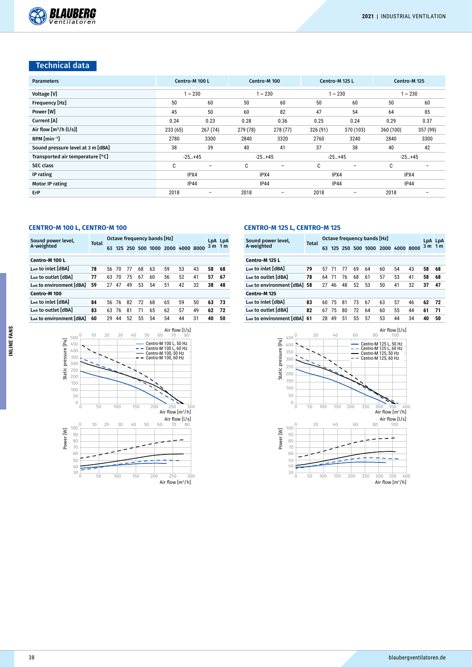# Technical data

| <b>Parameters</b>                 | Centro-M 100 L |                          | Centro-M 100                     |                          |                                  | Centro-M 125 L           | Centro-M 125 |          |  |
|-----------------------------------|----------------|--------------------------|----------------------------------|--------------------------|----------------------------------|--------------------------|--------------|----------|--|
| Voltage [V]                       |                | $\sim 230$               |                                  | $\sim 230$               |                                  | $\sim 230$               | $1 - 230$    |          |  |
| Frequency [Hz]                    | 50             | 60                       | 50                               | 60                       | 50                               | 60                       | 50           | 60       |  |
| Power [W]                         | 45             | 50                       | 60                               | 82                       | 47                               | 54                       | 64           | 85       |  |
| Current [A]                       | 0.24           | 0.23                     | 0.28                             | 0.36                     | 0.25                             | 0.24                     | 0.29         | 0.37     |  |
| Air flow $[m^3/h (l/s)]$          | 233(65)        | 267(74)                  | 279 (78)                         | 278 (77)                 | 326 (91)                         | 370 (103)                | 360 (100)    | 357 (99) |  |
| $RPM$ [min <sup>-1</sup> ]        | 2780           | 3300                     | 2840                             | 3320                     | 2760                             | 3240                     | 2840         | 3300     |  |
| Sound pressure level at 3 m [dBA] | 38             | 39                       | 40                               | 41                       | 37                               | 38                       | 40           | 42       |  |
| Transported air temperature [°C]  | $-25+45$       |                          | $-25+45$                         |                          |                                  | $-25+45$                 | $-25+45$     |          |  |
| <b>SEC class</b>                  | C              | $\overline{\phantom{a}}$ | C                                | $\overline{\phantom{0}}$ | C                                | $\overline{\phantom{0}}$ | C            |          |  |
| IP rating                         | IPX4           |                          | IPX4                             |                          |                                  | IPX4                     | IPX4         |          |  |
| <b>Motor IP rating</b>            | IP44           |                          | <b>IP44</b>                      |                          |                                  | IP44                     | IP44         |          |  |
| ErP                               | 2018<br>-      |                          | 2018<br>$\overline{\phantom{a}}$ |                          | 2018<br>$\overline{\phantom{0}}$ |                          | 2018         | -        |  |

#### **CENTRO-M 100 L, CENTRO-M 100**

| Sound power level,                  | <b>Total</b> |       | Octave frequency bands [Hz] |    |    | LpA LpA |    |                                 |    |     |                |
|-------------------------------------|--------------|-------|-----------------------------|----|----|---------|----|---------------------------------|----|-----|----------------|
| A-weighted                          |              | 63    |                             |    |    |         |    | 125 250 500 1000 2000 4000 8000 |    | 3 m | 1 <sub>m</sub> |
|                                     |              |       |                             |    |    |         |    |                                 |    |     |                |
| Centro-M 100 L                      |              |       |                             |    |    |         |    |                                 |    |     |                |
| Lwa to inlet [dBA]                  | 78           | 56.   | 70                          | 77 | 68 | 63      | 59 | 53                              | 43 | 58  | 68             |
| Lwa to outlet [dBA]                 | 77           | 63    | 70                          | 75 | 67 | 60      | 56 | 52                              | 41 | 57  | 67             |
| L <sub>w</sub> to environment [dBA] | 59           | 27    | 47                          | 49 | 53 | 54      | 51 | 42                              | 32 | 38  | 48             |
| Centro-M 100                        |              |       |                             |    |    |         |    |                                 |    |     |                |
| Lwa to inlet [dBA]                  | 84           | 56 76 |                             | 82 | 72 | 68      | 65 | 59                              | 50 | 63  | -73            |
| Lwa to outlet [dBA]                 | 83           | 63    | 76                          | 81 | 71 | 65      | 62 | 57                              | 49 | 62  | 72             |
| L <sub>w</sub> to environment [dBA] | 60           | 29    | ΔΔ                          | 52 | 55 | 54      | 54 | 44                              | 31 | 40  | 50             |
|                                     |              |       |                             |    |    |         |    |                                 |    |     |                |



## **CENTRO-M 125 L, CENTRO-M 125**

| Sound power level,          | Total |    | Octave frequency bands [Hz] |                   |    | LpA LpA |                                 |    |    |         |    |
|-----------------------------|-------|----|-----------------------------|-------------------|----|---------|---------------------------------|----|----|---------|----|
| A-weighted                  |       | 63 |                             |                   |    |         | 125 250 500 1000 2000 4000 8000 |    |    | 3 m 1 m |    |
| Centro-M 125 L              |       |    |                             |                   |    |         |                                 |    |    |         |    |
| Lwa to inlet [dBA]          | 79    | 57 | 71                          | $^{\prime\prime}$ | 69 | 64      | 60                              | 54 | 43 | 58      | 68 |
| Lwa to outlet [dBA]         | 78    | 64 | 71                          | 76                | 68 | 61      | 57                              | 53 | 41 | 58      | 68 |
| Lwa to environment [dBA] 58 |       | 27 | 46                          | 48                | 52 | 53      | 50                              | 41 | 32 | 37      | 47 |
| Centro-M 125                |       |    |                             |                   |    |         |                                 |    |    |         |    |
| Lwa to inlet [dBA]          | 83    | 60 | 75                          | 81                | 73 | 67      | 63                              | 57 | 46 | 62      | 72 |
| Lwa to outlet [dBA]         | 82    | 67 | 75                          | 80                | 72 | 64      | 60                              | 55 | 44 | 61      | 71 |
| Lwa to environment [dBA] 61 |       | 28 | 49                          | 51                | 55 | 57      | 53                              | 44 | 34 | 40      | 50 |

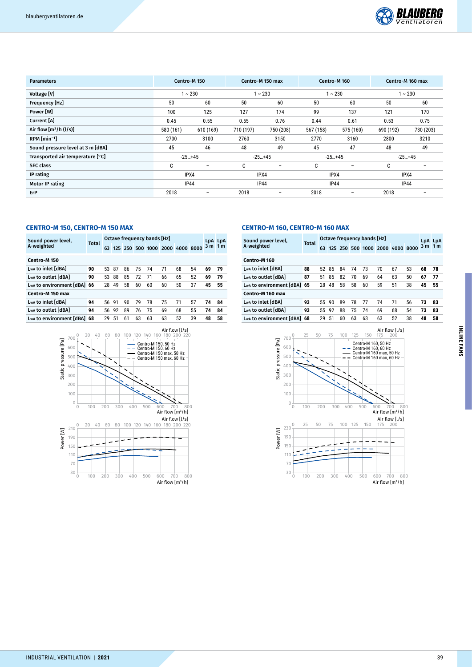

| <b>Parameters</b>                 | Centro-M 150                     |                          | Centro-M 150 max |                          | Centro-M 160 |                          | Centro-M 160 max |           |  |
|-----------------------------------|----------------------------------|--------------------------|------------------|--------------------------|--------------|--------------------------|------------------|-----------|--|
| Voltage [V]                       |                                  | $1 - 230$                |                  | $1 - 230$                |              | $1 - 230$                | $1 - 230$        |           |  |
| Frequency [Hz]                    | 50                               | 60                       | 50               | 60                       | 50           | 60                       | 50               | 60        |  |
| Power [W]                         | 100<br>125                       |                          | 127              | 174                      | 99           | 137                      | 121              | 170       |  |
| Current [A]                       | 0.45<br>0.55                     |                          | 0.55             | 0.76                     | 0.44         | 0.61                     | 0.53             | 0.75      |  |
| Air flow $[m^3/h (l/s)]$          | 580 (161)<br>610 (169)           |                          | 710 (197)        | 750 (208)                | 567 (158)    | 575 (160)                | 690 (192)        | 730 (203) |  |
| $RPM$ [min <sup>-1</sup> ]        | 2700<br>3100                     |                          | 2760             | 3150                     | 2770         | 3160                     | 2800             | 3210      |  |
| Sound pressure level at 3 m [dBA] | 45                               | 46                       | 48               | 49                       | 45           | 47                       | 48               | 49        |  |
| Transported air temperature [°C]  | $-25+45$                         |                          | $-25+45$         |                          | $-25+45$     |                          | $-25+45$         |           |  |
| <b>SEC class</b>                  | C                                | $\overline{\phantom{a}}$ | C                | $\overline{\phantom{a}}$ | C            | $\overline{\phantom{0}}$ | C                |           |  |
| IP rating                         | IPX4                             |                          | IPX4             |                          | IPX4         |                          | IPX4             |           |  |
| <b>Motor IP rating</b>            | <b>IP44</b>                      |                          |                  | <b>IP44</b>              | <b>IP44</b>  |                          | <b>IP44</b>      |           |  |
| ErP                               | 2018<br>$\overline{\phantom{a}}$ |                          | 2018             | $\overline{\phantom{a}}$ | 2018         | $\qquad \qquad$          | 2018             |           |  |

#### **CENTRO-M 150, CENTRO-M 150 MAX**

| Sound power level,       | Total | Octave frequency bands [Hz] |    |    |    |    |                       |           |    |            | LpA LpA |
|--------------------------|-------|-----------------------------|----|----|----|----|-----------------------|-----------|----|------------|---------|
| A-weighted               |       | 63                          |    |    |    |    | 125 250 500 1000 2000 | 4000 8000 |    | $3m$ 1 $m$ |         |
| Centro-M 150             |       |                             |    |    |    |    |                       |           |    |            |         |
| Lwa to inlet [dBA]       | 90    | 53                          | 87 | 86 | 75 | 74 | 71                    | 68        | 54 | 69         | 79      |
| Lwa to outlet [dBA]      | 90    | 53                          | 88 | 85 | 72 | 71 | 66                    | 65        | 52 | 69         | 79      |
| Lwa to environment [dBA] | 66    | 28                          | 49 | 58 | 60 | 60 | 60                    | 50        | 37 | 45         | 55      |
| Centro-M 150 max         |       |                             |    |    |    |    |                       |           |    |            |         |
| Lwa to inlet [dBA]       | 94    | 56                          | 91 | 90 | 79 | 78 | 75                    | 71        | 57 | 74         | 84      |
| Lwa to outlet [dBA]      | 94    | 56                          | 92 | 89 | 76 | 75 | 69                    | 68        | 55 | 74         | 84      |
| Lwa to environment [dBA] | 68    | 29                          | 51 | 61 | 63 | 63 | 63                    | 52        | 39 | 48         | 58      |



## **CENTRO-M 160, CENTRO-M 160 MAX**

| Sound power level,          | Total |    | Octave frequency bands [Hz] |    |    |    |                                 |    |    |     |                |
|-----------------------------|-------|----|-----------------------------|----|----|----|---------------------------------|----|----|-----|----------------|
| A-weighted                  |       | 63 |                             |    |    |    | 125 250 500 1000 2000 4000 8000 |    |    | 3 m | 1 <sub>m</sub> |
| Centro-M 160                |       |    |                             |    |    |    |                                 |    |    |     |                |
| Lwa to inlet [dBA]          | 88    | 52 | 85                          | 84 | 74 | 73 | 70                              | 67 | 53 | 68  | 78             |
| Lwa to outlet [dBA]         | 87    | 51 | 85                          | 82 | 70 | 69 | 64                              | 63 | 50 | 67  | 77             |
| Lwa to environment [dBA] 65 |       | 28 | 48                          | 58 | 58 | 60 | 59                              | 51 | 38 | 45  | 55             |
| Centro-M 160 max            |       |    |                             |    |    |    |                                 |    |    |     |                |
| Lwa to inlet [dBA]          | 93    | 55 | 90                          | 89 | 78 | 77 | 74                              | 71 | 56 | 73  | 83             |
| Lwa to outlet [dBA]         | 93    | 55 | 92                          | 88 | 75 | 74 | 69                              | 68 | 54 | 73  | 83             |
| Lwa to environment [dBA]    | 68    | 29 | 51                          | 60 | 63 | 63 | 63                              | 52 | 38 | 48  | 58             |

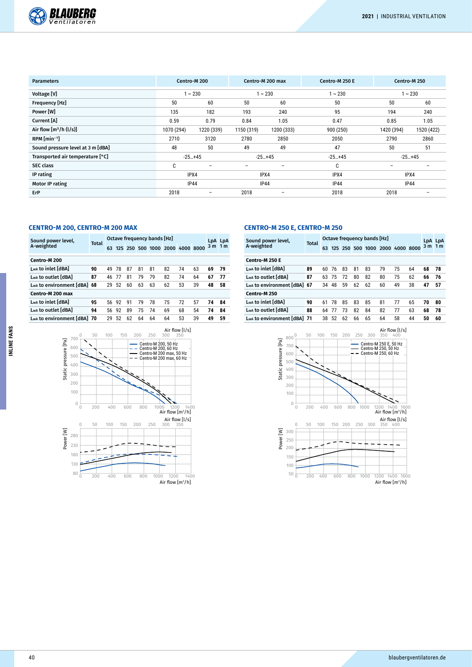

| <b>Parameters</b>                 | Centro-M 200                     |                          | Centro-M 200 max |                          | Centro-M 250 E |             | Centro-M 250 |
|-----------------------------------|----------------------------------|--------------------------|------------------|--------------------------|----------------|-------------|--------------|
| Voltage [V]                       |                                  | $1 - 230$                |                  | $1 - 230$                | $1 - 230$      |             | $1 - 230$    |
| Frequency [Hz]                    | 50<br>60                         |                          | 50               | 60                       | 50             | 50          | 60           |
| Power [W]                         | 135<br>182                       |                          | 193              | 240                      | 95             | 194         | 240          |
| Current [A]                       | 0.59<br>0.79                     |                          | 0.84             | 1.05                     | 0.47           | 0.85        | 1.05         |
| Air flow $[m^3/h (l/s)]$          | 1070 (294)<br>1220 (339)         |                          | 1150 (319)       | 1200 (333)               | 900 (250)      | 1420 (394)  | 1520 (422)   |
| $RPM$ [min <sup>-1</sup> ]        | 2710<br>3120                     |                          | 2780             | 2850                     | 2050           | 2790        | 2860         |
| Sound pressure level at 3 m [dBA] | 48                               | 50                       | 49               | 49                       | 47             | 50          | 51           |
| Transported air temperature [°C]  | $-25+45$                         |                          | $-25+45$         |                          | $-25+45$       | $-25+45$    |              |
| <b>SEC class</b>                  | C                                | $\overline{\phantom{0}}$ |                  | $\overline{\phantom{0}}$ | C              |             |              |
| IP rating                         | IPX4                             |                          | IPX4             |                          | IPX4           | IPX4        |              |
| <b>Motor IP rating</b>            | <b>IP44</b>                      |                          | <b>IP44</b>      |                          | <b>IP44</b>    | <b>IP44</b> |              |
| ErP                               | 2018<br>$\overline{\phantom{0}}$ |                          | 2018             |                          | 2018           | 2018        |              |

#### **CENTRO-M 200, CENTRO-M 200 MAX**

| A-weighted<br>$3m$ 1 m<br>125 250 500 1000 2000 4000 8000<br>63<br>Centro-M 200<br>Lwa to inlet [dBA]<br>82<br>74<br>63<br>90<br>81<br>49<br>78<br>87<br>69<br>79<br>81<br>87<br>Lwa to outlet [dBA]<br>82<br>79<br>74<br>67<br>64<br>81<br>79<br>77<br>46<br>-77<br>L <sub>wA</sub> to environment [dBA]<br>63<br>62<br>53<br>39<br>52<br>63<br>48<br>68<br>60<br>58<br>29<br>Centro-M 200 max<br>Lwa to inlet [dBA]<br>75<br>95<br>72<br>78<br>74<br>91<br>57<br>92<br>79<br>56.<br>84<br>Lwa to outlet [dBA]<br>94<br>75<br>74<br>69<br>68<br>74<br>89<br>54<br>84<br>92<br>56<br>L <sub>wa</sub> to environment [dBA] 70<br>53<br>59<br>62<br>64<br>39<br>49<br>52<br>64<br>64<br>29 | Sound power level, | <b>Total</b> | Octave frequency bands [Hz] |  | LpA LpA |  |  |  |
|------------------------------------------------------------------------------------------------------------------------------------------------------------------------------------------------------------------------------------------------------------------------------------------------------------------------------------------------------------------------------------------------------------------------------------------------------------------------------------------------------------------------------------------------------------------------------------------------------------------------------------------------------------------------------------------|--------------------|--------------|-----------------------------|--|---------|--|--|--|
|                                                                                                                                                                                                                                                                                                                                                                                                                                                                                                                                                                                                                                                                                          |                    |              |                             |  |         |  |  |  |
|                                                                                                                                                                                                                                                                                                                                                                                                                                                                                                                                                                                                                                                                                          |                    |              |                             |  |         |  |  |  |
|                                                                                                                                                                                                                                                                                                                                                                                                                                                                                                                                                                                                                                                                                          |                    |              |                             |  |         |  |  |  |
|                                                                                                                                                                                                                                                                                                                                                                                                                                                                                                                                                                                                                                                                                          |                    |              |                             |  |         |  |  |  |
|                                                                                                                                                                                                                                                                                                                                                                                                                                                                                                                                                                                                                                                                                          |                    |              |                             |  |         |  |  |  |
|                                                                                                                                                                                                                                                                                                                                                                                                                                                                                                                                                                                                                                                                                          |                    |              |                             |  |         |  |  |  |
|                                                                                                                                                                                                                                                                                                                                                                                                                                                                                                                                                                                                                                                                                          |                    |              |                             |  |         |  |  |  |
|                                                                                                                                                                                                                                                                                                                                                                                                                                                                                                                                                                                                                                                                                          |                    |              |                             |  |         |  |  |  |
|                                                                                                                                                                                                                                                                                                                                                                                                                                                                                                                                                                                                                                                                                          |                    |              |                             |  |         |  |  |  |



#### **CENTRO-M 250 E, CENTRO-M 250**

| Sound power level,          | <b>Total</b> |    | Octave frequency bands [Hz] |    | LpA LpA |    |                                 |    |    |                |                |
|-----------------------------|--------------|----|-----------------------------|----|---------|----|---------------------------------|----|----|----------------|----------------|
| A-weighted                  |              | 63 |                             |    |         |    | 125 250 500 1000 2000 4000 8000 |    |    | 3 <sub>m</sub> | 1 <sub>m</sub> |
| Centro-M 250 E              |              |    |                             |    |         |    |                                 |    |    |                |                |
| Lwa to inlet [dBA]          | 89           | 60 | 76                          | 83 | 81      | 83 | 79                              | 75 | 64 | 68             | 78             |
| Lwa to outlet [dBA]         | 87           | 63 | 75                          | 72 | 80      | 82 | 80                              | 75 | 62 | 66             | 76             |
| Lwa to environment [dBA] 67 |              | 34 | 48                          | 59 | 62      | 62 | 60                              | 49 | 38 | 47             | 57             |
| Centro-M 250                |              |    |                             |    |         |    |                                 |    |    |                |                |
| Lwa to inlet [dBA]          | 90           | 61 | 78                          | 85 | 83      | 85 | 81                              | 77 | 65 | 70             | 80             |
| Lwa to outlet [dBA]         | 88           | 64 | 77                          | 73 | 82      | 84 | 82                              | 77 | 63 | 68             | 78             |
| Lwa to environment [dBA]    | 71           | 38 | 52                          | 62 | 66      | 65 | 64                              | 58 | 44 | 50             | 60             |



**INLINE FANS**

INLINE FANS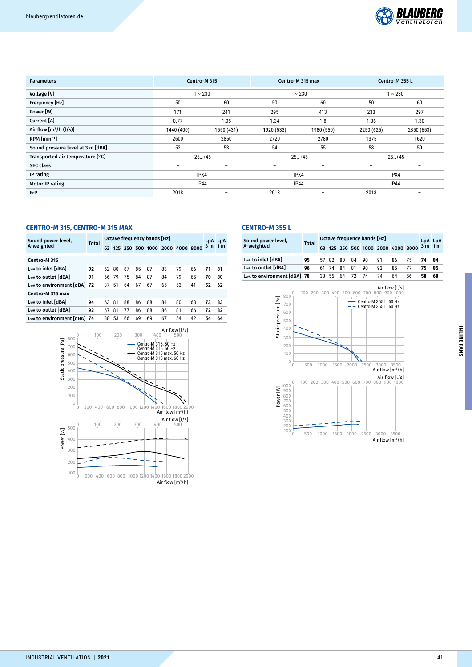

| <b>Parameters</b>                 | Centro-M 315                                         |  | Centro-M 315 max |            | Centro-M 355 L |                 |  |  |
|-----------------------------------|------------------------------------------------------|--|------------------|------------|----------------|-----------------|--|--|
| Voltage [V]                       | $1 - 230$                                            |  |                  | $1 - 230$  | $1 - 230$      |                 |  |  |
| Frequency [Hz]                    | 50<br>60                                             |  | 50               | 60         | 50             | 60              |  |  |
| Power [W]                         | 171<br>241                                           |  | 295              | 413        |                | 297             |  |  |
| Current [A]                       | 0.77<br>1.05                                         |  | 1.34             | 1.8        |                | 1.30            |  |  |
| Air flow $[m^3/h (l/s)]$          | 1550 (431)<br>1440 (400)                             |  | 1920 (533)       | 1980 (550) |                | 2350 (653)      |  |  |
| $RPM$ [min <sup>-1</sup> ]        | 2600<br>2850                                         |  | 2720             | 2780       |                | 1620            |  |  |
| Sound pressure level at 3 m [dBA] | 53<br>52                                             |  | 54               | 55         | 58             | 59              |  |  |
| Transported air temperature [°C]  | $-25+45$                                             |  | $-25+45$         |            | $-25+45$       |                 |  |  |
| <b>SEC class</b>                  | $\overline{\phantom{0}}$<br>$\overline{\phantom{m}}$ |  | -                | $-$        |                | $\qquad \qquad$ |  |  |
| IP rating                         | IPX4                                                 |  | IPX4             |            | IPX4           |                 |  |  |
| <b>Motor IP rating</b>            | <b>IP44</b>                                          |  | <b>IP44</b>      |            | <b>IP44</b>    |                 |  |  |
| ErP                               | 2018                                                 |  | 2018             |            | 2018           |                 |  |  |

## **CENTRO-M 315, CENTRO-M 315 MAX**

| Sound power level,<br>A-weighted | Total | Octave frequency bands [Hz] |    |    |    |    |                       |           |    |     | LpA LpA        |
|----------------------------------|-------|-----------------------------|----|----|----|----|-----------------------|-----------|----|-----|----------------|
|                                  |       | 63                          |    |    |    |    | 125 250 500 1000 2000 | 4000 8000 |    | 3 m | 1 <sub>m</sub> |
| Centro-M 315                     |       |                             |    |    |    |    |                       |           |    |     |                |
| Lwa to inlet [dBA]               | 92    | 62                          | 80 | 87 | 85 | 87 | 83                    | 79        | 66 | 71  | 81             |
| Lwa to outlet [dBA]              | 91    | 66                          | 79 | 75 | 84 | 87 | 84                    | 79        | 65 | 70  | 80             |
| Lwa to environment [dBA] 72      |       | 37                          | 51 | 64 | 67 | 67 | 65                    | 53        | 41 | 52  | 62             |
| Centro-M 315 max                 |       |                             |    |    |    |    |                       |           |    |     |                |
| Lwa to inlet [dBA]               | 94    | 63                          | 81 | 88 | 86 | 88 | 84                    | 80        | 68 | 73  | 83             |
| Lwa to outlet [dBA]              | 92    | 67                          | 81 | 77 | 86 | 88 | 86                    | 81        | 66 | 72  | 82             |
| Lwa to environment [dBA] 74      |       | 38                          | 53 | 66 | 69 | 69 | 67                    | 54        | 42 | 54  | 64             |



#### **CENTRO-M 355 L**

| Sound power level,<br>A-weighted | <b>Total</b>                | Octave frequency bands [Hz] |  |       |                |    |    |    |                                    |          | LpA LpA |      |
|----------------------------------|-----------------------------|-----------------------------|--|-------|----------------|----|----|----|------------------------------------|----------|---------|------|
|                                  |                             |                             |  |       |                |    |    |    | 63 125 250 500 1000 2000 4000 8000 | $3m$ 1 m |         |      |
|                                  | Lwa to inlet [dBA]          | 95                          |  |       | 57 82 80 84 90 |    |    | 91 | 86                                 | 75       | 74      | - 84 |
|                                  | Lwa to outlet [dBA]         | 96                          |  | 61 74 | 84             | 81 | 90 | 93 | 85                                 |          | 75      | - 85 |
|                                  | Lwa to environment [dBA] 78 |                             |  | 33 55 | 64             | 72 | 74 | 74 | 64                                 | 56       | 58      | 68   |